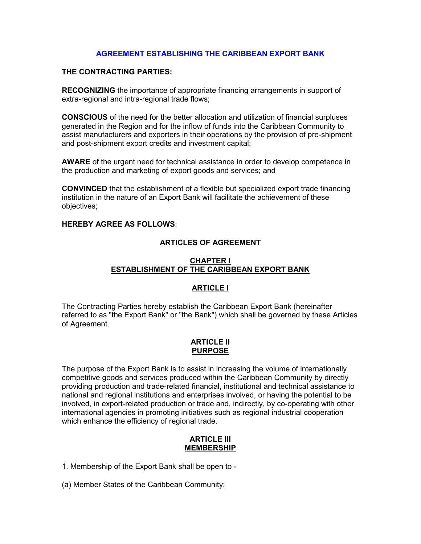# AGREEMENT ESTABLISHING THE CARIBBEAN EXPORT BANK

### THE CONTRACTING PARTIES:

RECOGNIZING the importance of appropriate financing arrangements in support of extra-regional and intra-regional trade flows;

CONSCIOUS of the need for the better allocation and utilization of financial surpluses generated in the Region and for the inflow of funds into the Caribbean Community to assist manufacturers and exporters in their operations by the provision of pre-shipment and post-shipment export credits and investment capital;

AWARE of the urgent need for technical assistance in order to develop competence in the production and marketing of export goods and services; and

CONVINCED that the establishment of a flexible but specialized export trade financing institution in the nature of an Export Bank will facilitate the achievement of these objectives;

## HEREBY AGREE AS FOLLOWS:

### ARTICLES OF AGREEMENT

### CHAPTER I ESTABLISHMENT OF THE CARIBBEAN EXPORT BANK

## ARTICLE I

The Contracting Parties hereby establish the Caribbean Export Bank (hereinafter referred to as "the Export Bank" or "the Bank") which shall be governed by these Articles of Agreement.

## ARTICLE II PURPOSE

The purpose of the Export Bank is to assist in increasing the volume of internationally competitive goods and services produced within the Caribbean Community by directly providing production and trade-related financial, institutional and technical assistance to national and regional institutions and enterprises involved, or having the potential to be involved, in export-related production or trade and, indirectly, by co-operating with other international agencies in promoting initiatives such as regional industrial cooperation which enhance the efficiency of regional trade.

### ARTICLE III MEMBERSHIP

1. Membership of the Export Bank shall be open to -

(a) Member States of the Caribbean Community;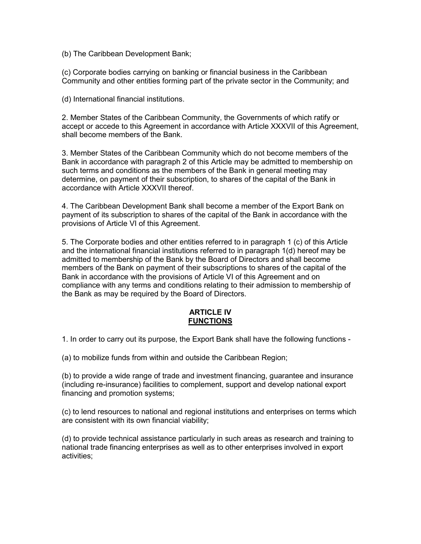(b) The Caribbean Development Bank;

(c) Corporate bodies carrying on banking or financial business in the Caribbean Community and other entities forming part of the private sector in the Community; and

(d) International financial institutions.

2. Member States of the Caribbean Community, the Governments of which ratify or accept or accede to this Agreement in accordance with Article XXXVII of this Agreement, shall become members of the Bank.

3. Member States of the Caribbean Community which do not become members of the Bank in accordance with paragraph 2 of this Article may be admitted to membership on such terms and conditions as the members of the Bank in general meeting may determine, on payment of their subscription, to shares of the capital of the Bank in accordance with Article XXXVII thereof.

4. The Caribbean Development Bank shall become a member of the Export Bank on payment of its subscription to shares of the capital of the Bank in accordance with the provisions of Article VI of this Agreement.

5. The Corporate bodies and other entities referred to in paragraph 1 (c) of this Article and the international financial institutions referred to in paragraph 1(d) hereof may be admitted to membership of the Bank by the Board of Directors and shall become members of the Bank on payment of their subscriptions to shares of the capital of the Bank in accordance with the provisions of Article VI of this Agreement and on compliance with any terms and conditions relating to their admission to membership of the Bank as may be required by the Board of Directors.

### ARTICLE IV **FUNCTIONS**

1. In order to carry out its purpose, the Export Bank shall have the following functions -

(a) to mobilize funds from within and outside the Caribbean Region;

(b) to provide a wide range of trade and investment financing, guarantee and insurance (including re-insurance) facilities to complement, support and develop national export financing and promotion systems;

(c) to lend resources to national and regional institutions and enterprises on terms which are consistent with its own financial viability;

(d) to provide technical assistance particularly in such areas as research and training to national trade financing enterprises as well as to other enterprises involved in export activities;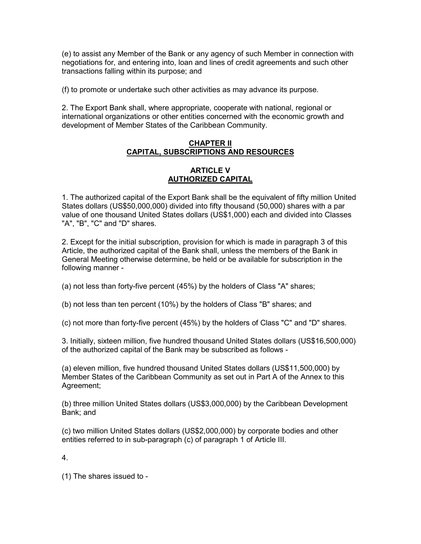(e) to assist any Member of the Bank or any agency of such Member in connection with negotiations for, and entering into, loan and lines of credit agreements and such other transactions falling within its purpose; and

(f) to promote or undertake such other activities as may advance its purpose.

2. The Export Bank shall, where appropriate, cooperate with national, regional or international organizations or other entities concerned with the economic growth and development of Member States of the Caribbean Community.

### CHAPTER II CAPITAL, SUBSCRIPTIONS AND RESOURCES

### ARTICLE V AUTHORIZED CAPITAL

1. The authorized capital of the Export Bank shall be the equivalent of fifty million United States dollars (US\$50,000,000) divided into fifty thousand (50,000) shares with a par value of one thousand United States dollars (US\$1,000) each and divided into Classes "A", "B", "C" and "D" shares.

2. Except for the initial subscription, provision for which is made in paragraph 3 of this Article, the authorized capital of the Bank shall, unless the members of the Bank in General Meeting otherwise determine, be held or be available for subscription in the following manner -

(a) not less than forty-five percent (45%) by the holders of Class "A" shares;

(b) not less than ten percent (10%) by the holders of Class "B" shares; and

(c) not more than forty-five percent (45%) by the holders of Class "C" and "D" shares.

3. Initially, sixteen million, five hundred thousand United States dollars (US\$16,500,000) of the authorized capital of the Bank may be subscribed as follows -

(a) eleven million, five hundred thousand United States dollars (US\$11,500,000) by Member States of the Caribbean Community as set out in Part A of the Annex to this Agreement;

(b) three million United States dollars (US\$3,000,000) by the Caribbean Development Bank; and

(c) two million United States dollars (US\$2,000,000) by corporate bodies and other entities referred to in sub-paragraph (c) of paragraph 1 of Article III.

4.

(1) The shares issued to -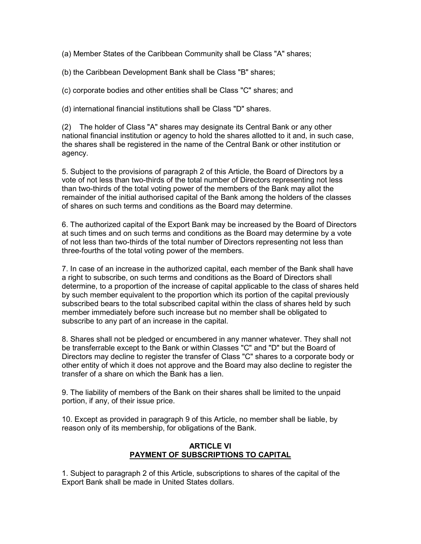(a) Member States of the Caribbean Community shall be Class "A" shares;

(b) the Caribbean Development Bank shall be Class "B" shares;

(c) corporate bodies and other entities shall be Class "C" shares; and

(d) international financial institutions shall be Class "D" shares.

(2) The holder of Class "A" shares may designate its Central Bank or any other national financial institution or agency to hold the shares allotted to it and, in such case, the shares shall be registered in the name of the Central Bank or other institution or agency.

5. Subject to the provisions of paragraph 2 of this Article, the Board of Directors by a vote of not less than two-thirds of the total number of Directors representing not less than two-thirds of the total voting power of the members of the Bank may allot the remainder of the initial authorised capital of the Bank among the holders of the classes of shares on such terms and conditions as the Board may determine.

6. The authorized capital of the Export Bank may be increased by the Board of Directors at such times and on such terms and conditions as the Board may determine by a vote of not less than two-thirds of the total number of Directors representing not less than three-fourths of the total voting power of the members.

7. In case of an increase in the authorized capital, each member of the Bank shall have a right to subscribe, on such terms and conditions as the Board of Directors shall determine, to a proportion of the increase of capital applicable to the class of shares held by such member equivalent to the proportion which its portion of the capital previously subscribed bears to the total subscribed capital within the class of shares held by such member immediately before such increase but no member shall be obligated to subscribe to any part of an increase in the capital.

8. Shares shall not be pledged or encumbered in any manner whatever. They shall not be transferrable except to the Bank or within Classes "C" and "D" but the Board of Directors may decline to register the transfer of Class "C" shares to a corporate body or other entity of which it does not approve and the Board may also decline to register the transfer of a share on which the Bank has a lien.

9. The liability of members of the Bank on their shares shall be limited to the unpaid portion, if any, of their issue price.

10. Except as provided in paragraph 9 of this Article, no member shall be liable, by reason only of its membership, for obligations of the Bank.

## ARTICLE VI PAYMENT OF SUBSCRIPTIONS TO CAPITAL

1. Subject to paragraph 2 of this Article, subscriptions to shares of the capital of the Export Bank shall be made in United States dollars.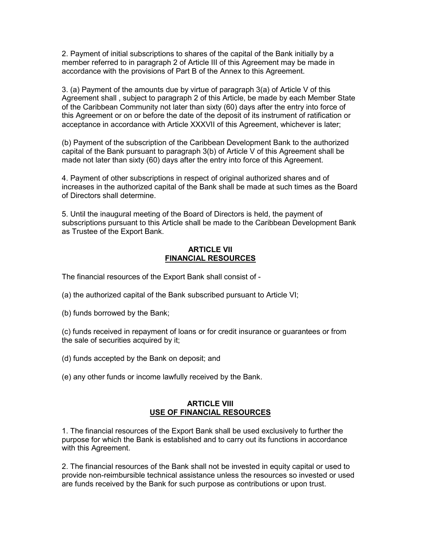2. Payment of initial subscriptions to shares of the capital of the Bank initially by a member referred to in paragraph 2 of Article III of this Agreement may be made in accordance with the provisions of Part B of the Annex to this Agreement.

3. (a) Payment of the amounts due by virtue of paragraph 3(a) of Article V of this Agreement shall , subject to paragraph 2 of this Article, be made by each Member State of the Caribbean Community not later than sixty (60) days after the entry into force of this Agreement or on or before the date of the deposit of its instrument of ratification or acceptance in accordance with Article XXXVII of this Agreement, whichever is later;

(b) Payment of the subscription of the Caribbean Development Bank to the authorized capital of the Bank pursuant to paragraph 3(b) of Article V of this Agreement shall be made not later than sixty (60) days after the entry into force of this Agreement.

4. Payment of other subscriptions in respect of original authorized shares and of increases in the authorized capital of the Bank shall be made at such times as the Board of Directors shall determine.

5. Until the inaugural meeting of the Board of Directors is held, the payment of subscriptions pursuant to this Article shall be made to the Caribbean Development Bank as Trustee of the Export Bank.

## ARTICLE VII FINANCIAL RESOURCES

The financial resources of the Export Bank shall consist of -

- (a) the authorized capital of the Bank subscribed pursuant to Article VI;
- (b) funds borrowed by the Bank;

(c) funds received in repayment of loans or for credit insurance or guarantees or from the sale of securities acquired by it;

- (d) funds accepted by the Bank on deposit; and
- (e) any other funds or income lawfully received by the Bank.

#### ARTICLE VIII USE OF FINANCIAL RESOURCES

1. The financial resources of the Export Bank shall be used exclusively to further the purpose for which the Bank is established and to carry out its functions in accordance with this Agreement.

2. The financial resources of the Bank shall not be invested in equity capital or used to provide non-reimbursible technical assistance unless the resources so invested or used are funds received by the Bank for such purpose as contributions or upon trust.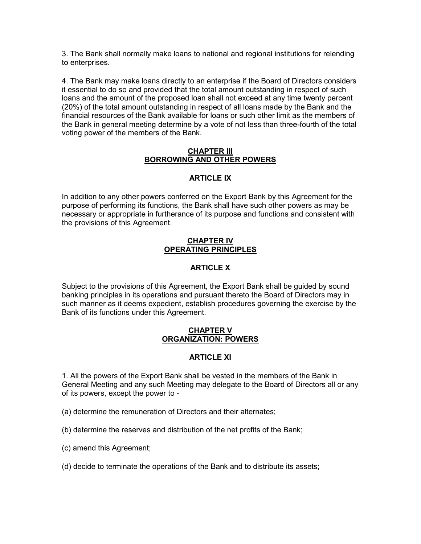3. The Bank shall normally make loans to national and regional institutions for relending to enterprises.

4. The Bank may make loans directly to an enterprise if the Board of Directors considers it essential to do so and provided that the total amount outstanding in respect of such loans and the amount of the proposed loan shall not exceed at any time twenty percent (20%) of the total amount outstanding in respect of all loans made by the Bank and the financial resources of the Bank available for loans or such other limit as the members of the Bank in general meeting determine by a vote of not less than three-fourth of the total voting power of the members of the Bank.

#### CHAPTER III BORROWING AND OTHER POWERS

# ARTICLE IX

In addition to any other powers conferred on the Export Bank by this Agreement for the purpose of performing its functions, the Bank shall have such other powers as may be necessary or appropriate in furtherance of its purpose and functions and consistent with the provisions of this Agreement.

#### CHAPTER IV OPERATING PRINCIPLES

# ARTICLE X

Subject to the provisions of this Agreement, the Export Bank shall be guided by sound banking principles in its operations and pursuant thereto the Board of Directors may in such manner as it deems expedient, establish procedures governing the exercise by the Bank of its functions under this Agreement.

### CHAPTER V ORGANIZATION: POWERS

## ARTICLE XI

1. All the powers of the Export Bank shall be vested in the members of the Bank in General Meeting and any such Meeting may delegate to the Board of Directors all or any of its powers, except the power to -

- (a) determine the remuneration of Directors and their alternates;
- (b) determine the reserves and distribution of the net profits of the Bank;
- (c) amend this Agreement;
- (d) decide to terminate the operations of the Bank and to distribute its assets;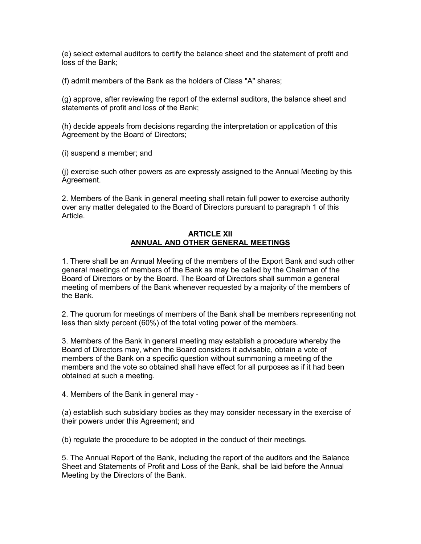(e) select external auditors to certify the balance sheet and the statement of profit and loss of the Bank;

(f) admit members of the Bank as the holders of Class "A" shares;

(g) approve, after reviewing the report of the external auditors, the balance sheet and statements of profit and loss of the Bank;

(h) decide appeals from decisions regarding the interpretation or application of this Agreement by the Board of Directors;

(i) suspend a member; and

(j) exercise such other powers as are expressly assigned to the Annual Meeting by this Agreement.

2. Members of the Bank in general meeting shall retain full power to exercise authority over any matter delegated to the Board of Directors pursuant to paragraph 1 of this Article.

#### ARTICLE XII ANNUAL AND OTHER GENERAL MEETINGS

1. There shall be an Annual Meeting of the members of the Export Bank and such other general meetings of members of the Bank as may be called by the Chairman of the Board of Directors or by the Board. The Board of Directors shall summon a general meeting of members of the Bank whenever requested by a majority of the members of the Bank.

2. The quorum for meetings of members of the Bank shall be members representing not less than sixty percent (60%) of the total voting power of the members.

3. Members of the Bank in general meeting may establish a procedure whereby the Board of Directors may, when the Board considers it advisable, obtain a vote of members of the Bank on a specific question without summoning a meeting of the members and the vote so obtained shall have effect for all purposes as if it had been obtained at such a meeting.

4. Members of the Bank in general may -

(a) establish such subsidiary bodies as they may consider necessary in the exercise of their powers under this Agreement; and

(b) regulate the procedure to be adopted in the conduct of their meetings.

5. The Annual Report of the Bank, including the report of the auditors and the Balance Sheet and Statements of Profit and Loss of the Bank, shall be laid before the Annual Meeting by the Directors of the Bank.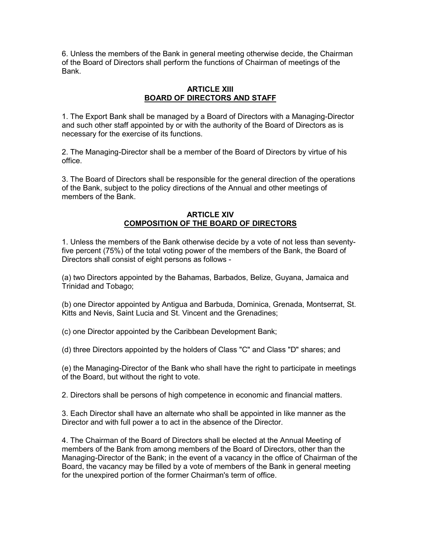6. Unless the members of the Bank in general meeting otherwise decide, the Chairman of the Board of Directors shall perform the functions of Chairman of meetings of the Bank.

## ARTICLE XIII BOARD OF DIRECTORS AND STAFF

1. The Export Bank shall be managed by a Board of Directors with a Managing-Director and such other staff appointed by or with the authority of the Board of Directors as is necessary for the exercise of its functions.

2. The Managing-Director shall be a member of the Board of Directors by virtue of his office.

3. The Board of Directors shall be responsible for the general direction of the operations of the Bank, subject to the policy directions of the Annual and other meetings of members of the Bank.

### ARTICLE XIV COMPOSITION OF THE BOARD OF DIRECTORS

1. Unless the members of the Bank otherwise decide by a vote of not less than seventyfive percent (75%) of the total voting power of the members of the Bank, the Board of Directors shall consist of eight persons as follows -

(a) two Directors appointed by the Bahamas, Barbados, Belize, Guyana, Jamaica and Trinidad and Tobago;

(b) one Director appointed by Antigua and Barbuda, Dominica, Grenada, Montserrat, St. Kitts and Nevis, Saint Lucia and St. Vincent and the Grenadines;

(c) one Director appointed by the Caribbean Development Bank;

(d) three Directors appointed by the holders of Class "C" and Class "D" shares; and

(e) the Managing-Director of the Bank who shall have the right to participate in meetings of the Board, but without the right to vote.

2. Directors shall be persons of high competence in economic and financial matters.

3. Each Director shall have an alternate who shall be appointed in like manner as the Director and with full power a to act in the absence of the Director.

4. The Chairman of the Board of Directors shall be elected at the Annual Meeting of members of the Bank from among members of the Board of Directors, other than the Managing-Director of the Bank; in the event of a vacancy in the office of Chairman of the Board, the vacancy may be filled by a vote of members of the Bank in general meeting for the unexpired portion of the former Chairman's term of office.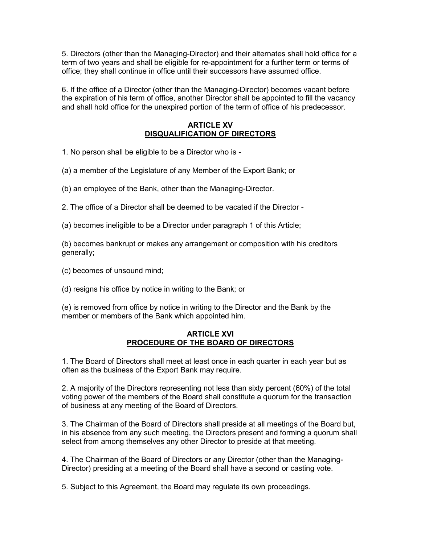5. Directors (other than the Managing-Director) and their alternates shall hold office for a term of two years and shall be eligible for re-appointment for a further term or terms of office; they shall continue in office until their successors have assumed office.

6. If the office of a Director (other than the Managing-Director) becomes vacant before the expiration of his term of office, another Director shall be appointed to fill the vacancy and shall hold office for the unexpired portion of the term of office of his predecessor.

## ARTICLE XV DISQUALIFICATION OF DIRECTORS

1. No person shall be eligible to be a Director who is -

(a) a member of the Legislature of any Member of the Export Bank; or

(b) an employee of the Bank, other than the Managing-Director.

2. The office of a Director shall be deemed to be vacated if the Director -

(a) becomes ineligible to be a Director under paragraph 1 of this Article;

(b) becomes bankrupt or makes any arrangement or composition with his creditors generally;

(c) becomes of unsound mind;

(d) resigns his office by notice in writing to the Bank; or

(e) is removed from office by notice in writing to the Director and the Bank by the member or members of the Bank which appointed him.

## **ARTICI F XVI** PROCEDURE OF THE BOARD OF DIRECTORS

1. The Board of Directors shall meet at least once in each quarter in each year but as often as the business of the Export Bank may require.

2. A majority of the Directors representing not less than sixty percent (60%) of the total voting power of the members of the Board shall constitute a quorum for the transaction of business at any meeting of the Board of Directors.

3. The Chairman of the Board of Directors shall preside at all meetings of the Board but, in his absence from any such meeting, the Directors present and forming a quorum shall select from among themselves any other Director to preside at that meeting.

4. The Chairman of the Board of Directors or any Director (other than the Managing-Director) presiding at a meeting of the Board shall have a second or casting vote.

5. Subject to this Agreement, the Board may regulate its own proceedings.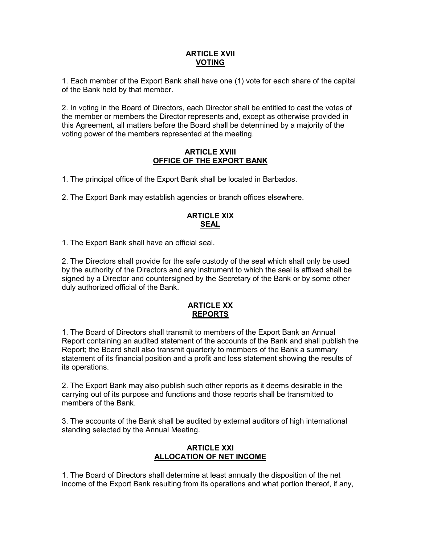## ARTICLE XVII VOTING

1. Each member of the Export Bank shall have one (1) vote for each share of the capital of the Bank held by that member.

2. In voting in the Board of Directors, each Director shall be entitled to cast the votes of the member or members the Director represents and, except as otherwise provided in this Agreement, all matters before the Board shall be determined by a majority of the voting power of the members represented at the meeting.

## ARTICLE XVIII OFFICE OF THE EXPORT BANK

1. The principal office of the Export Bank shall be located in Barbados.

2. The Export Bank may establish agencies or branch offices elsewhere.

# ARTICLE XIX **SEAL**

1. The Export Bank shall have an official seal.

2. The Directors shall provide for the safe custody of the seal which shall only be used by the authority of the Directors and any instrument to which the seal is affixed shall be signed by a Director and countersigned by the Secretary of the Bank or by some other duly authorized official of the Bank.

### ARTICLE XX REPORTS

1. The Board of Directors shall transmit to members of the Export Bank an Annual Report containing an audited statement of the accounts of the Bank and shall publish the Report; the Board shall also transmit quarterly to members of the Bank a summary statement of its financial position and a profit and loss statement showing the results of its operations.

2. The Export Bank may also publish such other reports as it deems desirable in the carrying out of its purpose and functions and those reports shall be transmitted to members of the Bank.

3. The accounts of the Bank shall be audited by external auditors of high international standing selected by the Annual Meeting.

## ARTICLE XXI ALLOCATION OF NET INCOME

1. The Board of Directors shall determine at least annually the disposition of the net income of the Export Bank resulting from its operations and what portion thereof, if any,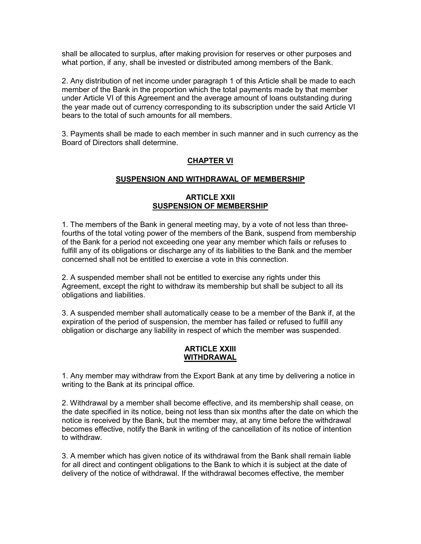shall be allocated to surplus, after making provision for reserves or other purposes and what portion, if any, shall be invested or distributed among members of the Bank.

2. Any distribution of net income under paragraph 1 of this Article shall be made to each member of the Bank in the proportion which the total payments made by that member under Article VI of this Agreement and the average amount of loans outstanding during the year made out of currency corresponding to its subscription under the said Article VI bears to the total of such amounts for all members.

3. Payments shall be made to each member in such manner and in such currency as the Board of Directors shall determine.

# CHAPTER VI

### SUSPENSION AND WITHDRAWAL OF MEMBERSHIP

## ARTICLE XXII SUSPENSION OF MEMBERSHIP

1. The members of the Bank in general meeting may, by a vote of not less than threefourths of the total voting power of the members of the Bank, suspend from membership of the Bank for a period not exceeding one year any member which fails or refuses to fulfill any of its obligations or discharge any of its liabilities to the Bank and the member concerned shall not be entitled to exercise a vote in this connection.

2. A suspended member shall not be entitled to exercise any rights under this Agreement, except the right to withdraw its membership but shall be subject to all its obligations and liabilities.

3. A suspended member shall automatically cease to be a member of the Bank if, at the expiration of the period of suspension, the member has failed or refused to fulfill any obligation or discharge any liability in respect of which the member was suspended.

#### ARTICLE XXIII WITHDRAWAL

1. Any member may withdraw from the Export Bank at any time by delivering a notice in writing to the Bank at its principal office.

2. Withdrawal by a member shall become effective, and its membership shall cease, on the date specified in its notice, being not less than six months after the date on which the notice is received by the Bank, but the member may, at any time before the withdrawal becomes effective, notify the Bank in writing of the cancellation of its notice of intention to withdraw.

3. A member which has given notice of its withdrawal from the Bank shall remain liable for all direct and contingent obligations to the Bank to which it is subject at the date of delivery of the notice of withdrawal. If the withdrawal becomes effective, the member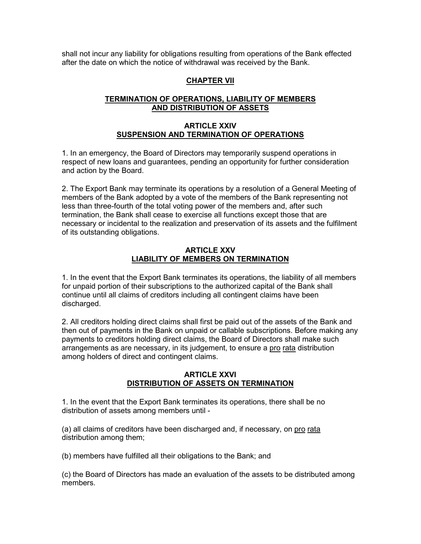shall not incur any liability for obligations resulting from operations of the Bank effected after the date on which the notice of withdrawal was received by the Bank.

# CHAPTER VII

# TERMINATION OF OPERATIONS, LIABILITY OF MEMBERS AND DISTRIBUTION OF ASSETS

### ARTICLE XXIV SUSPENSION AND TERMINATION OF OPERATIONS

1. In an emergency, the Board of Directors may temporarily suspend operations in respect of new loans and guarantees, pending an opportunity for further consideration and action by the Board.

2. The Export Bank may terminate its operations by a resolution of a General Meeting of members of the Bank adopted by a vote of the members of the Bank representing not less than three-fourth of the total voting power of the members and, after such termination, the Bank shall cease to exercise all functions except those that are necessary or incidental to the realization and preservation of its assets and the fulfilment of its outstanding obligations.

### ARTICLE XXV LIABILITY OF MEMBERS ON TERMINATION

1. In the event that the Export Bank terminates its operations, the liability of all members for unpaid portion of their subscriptions to the authorized capital of the Bank shall continue until all claims of creditors including all contingent claims have been discharged.

2. All creditors holding direct claims shall first be paid out of the assets of the Bank and then out of payments in the Bank on unpaid or callable subscriptions. Before making any payments to creditors holding direct claims, the Board of Directors shall make such arrangements as are necessary, in its judgement, to ensure a pro rata distribution among holders of direct and contingent claims.

### ARTICLE XXVI DISTRIBUTION OF ASSETS ON TERMINATION

1. In the event that the Export Bank terminates its operations, there shall be no distribution of assets among members until -

(a) all claims of creditors have been discharged and, if necessary, on pro rata distribution among them;

(b) members have fulfilled all their obligations to the Bank; and

(c) the Board of Directors has made an evaluation of the assets to be distributed among members.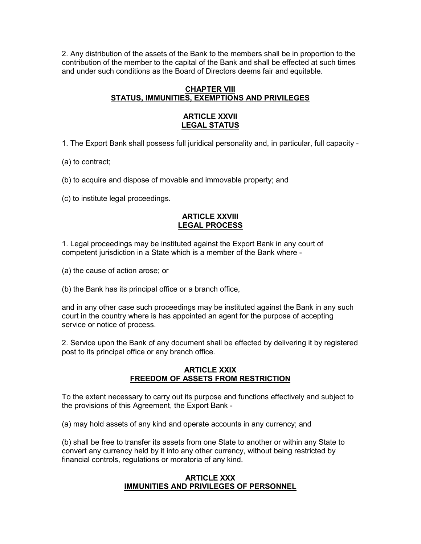2. Any distribution of the assets of the Bank to the members shall be in proportion to the contribution of the member to the capital of the Bank and shall be effected at such times and under such conditions as the Board of Directors deems fair and equitable.

## CHAPTER VIII STATUS, IMMUNITIES, EXEMPTIONS AND PRIVILEGES

## ARTICLE XXVII LEGAL STATUS

1. The Export Bank shall possess full juridical personality and, in particular, full capacity -

(a) to contract;

(b) to acquire and dispose of movable and immovable property; and

(c) to institute legal proceedings.

### ARTICLE XXVIII LEGAL PROCESS

1. Legal proceedings may be instituted against the Export Bank in any court of competent jurisdiction in a State which is a member of the Bank where -

(a) the cause of action arose; or

(b) the Bank has its principal office or a branch office,

and in any other case such proceedings may be instituted against the Bank in any such court in the country where is has appointed an agent for the purpose of accepting service or notice of process.

2. Service upon the Bank of any document shall be effected by delivering it by registered post to its principal office or any branch office.

### ARTICLE XXIX FREEDOM OF ASSETS FROM RESTRICTION

To the extent necessary to carry out its purpose and functions effectively and subject to the provisions of this Agreement, the Export Bank -

(a) may hold assets of any kind and operate accounts in any currency; and

(b) shall be free to transfer its assets from one State to another or within any State to convert any currency held by it into any other currency, without being restricted by financial controls, regulations or moratoria of any kind.

### ARTICLE XXX IMMUNITIES AND PRIVILEGES OF PERSONNEL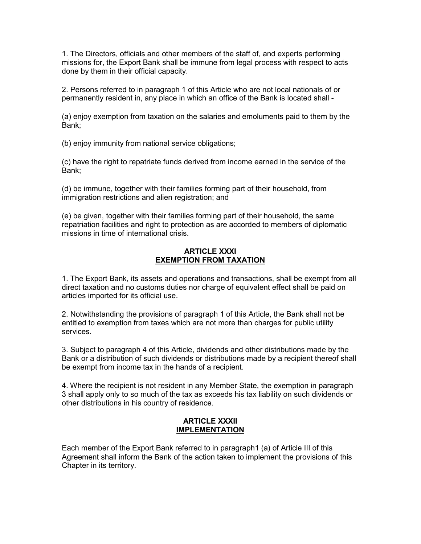1. The Directors, officials and other members of the staff of, and experts performing missions for, the Export Bank shall be immune from legal process with respect to acts done by them in their official capacity.

2. Persons referred to in paragraph 1 of this Article who are not local nationals of or permanently resident in, any place in which an office of the Bank is located shall -

(a) enjoy exemption from taxation on the salaries and emoluments paid to them by the Bank;

(b) enjoy immunity from national service obligations;

(c) have the right to repatriate funds derived from income earned in the service of the Bank;

(d) be immune, together with their families forming part of their household, from immigration restrictions and alien registration; and

(e) be given, together with their families forming part of their household, the same repatriation facilities and right to protection as are accorded to members of diplomatic missions in time of international crisis.

### ARTICLE XXXI EXEMPTION FROM TAXATION

1. The Export Bank, its assets and operations and transactions, shall be exempt from all direct taxation and no customs duties nor charge of equivalent effect shall be paid on articles imported for its official use.

2. Notwithstanding the provisions of paragraph 1 of this Article, the Bank shall not be entitled to exemption from taxes which are not more than charges for public utility services.

3. Subject to paragraph 4 of this Article, dividends and other distributions made by the Bank or a distribution of such dividends or distributions made by a recipient thereof shall be exempt from income tax in the hands of a recipient.

4. Where the recipient is not resident in any Member State, the exemption in paragraph 3 shall apply only to so much of the tax as exceeds his tax liability on such dividends or other distributions in his country of residence.

### ARTICLE XXXII IMPLEMENTATION

Each member of the Export Bank referred to in paragraph1 (a) of Article III of this Agreement shall inform the Bank of the action taken to implement the provisions of this Chapter in its territory.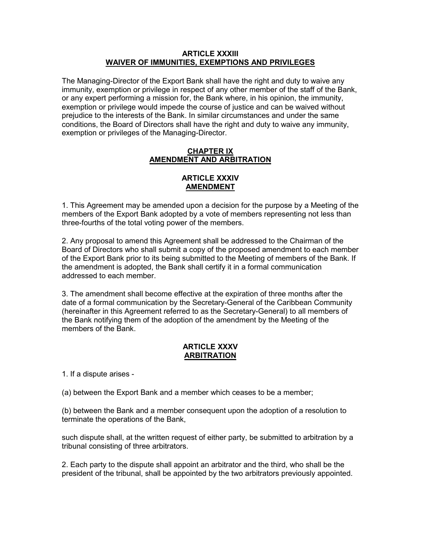### ARTICLE XXXIII WAIVER OF IMMUNITIES, EXEMPTIONS AND PRIVILEGES

The Managing-Director of the Export Bank shall have the right and duty to waive any immunity, exemption or privilege in respect of any other member of the staff of the Bank, or any expert performing a mission for, the Bank where, in his opinion, the immunity, exemption or privilege would impede the course of justice and can be waived without prejudice to the interests of the Bank. In similar circumstances and under the same conditions, the Board of Directors shall have the right and duty to waive any immunity, exemption or privileges of the Managing-Director.

### CHAPTER IX AMENDMENT AND ARBITRATION

## ARTICLE XXXIV AMENDMENT

1. This Agreement may be amended upon a decision for the purpose by a Meeting of the members of the Export Bank adopted by a vote of members representing not less than three-fourths of the total voting power of the members.

2. Any proposal to amend this Agreement shall be addressed to the Chairman of the Board of Directors who shall submit a copy of the proposed amendment to each member of the Export Bank prior to its being submitted to the Meeting of members of the Bank. If the amendment is adopted, the Bank shall certify it in a formal communication addressed to each member.

3. The amendment shall become effective at the expiration of three months after the date of a formal communication by the Secretary-General of the Caribbean Community (hereinafter in this Agreement referred to as the Secretary-General) to all members of the Bank notifying them of the adoption of the amendment by the Meeting of the members of the Bank.

## ARTICLE XXXV ARBITRATION

1. If a dispute arises -

(a) between the Export Bank and a member which ceases to be a member;

(b) between the Bank and a member consequent upon the adoption of a resolution to terminate the operations of the Bank,

such dispute shall, at the written request of either party, be submitted to arbitration by a tribunal consisting of three arbitrators.

2. Each party to the dispute shall appoint an arbitrator and the third, who shall be the president of the tribunal, shall be appointed by the two arbitrators previously appointed.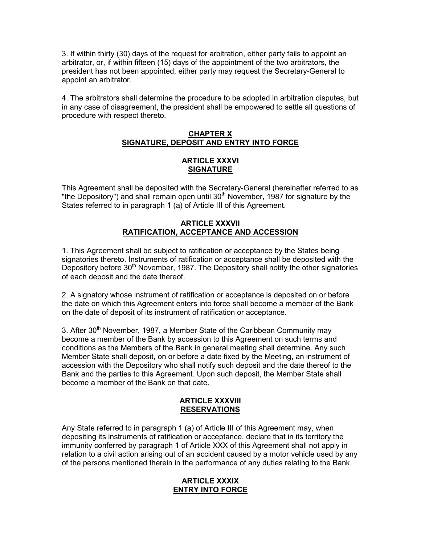3. If within thirty (30) days of the request for arbitration, either party fails to appoint an arbitrator, or, if within fifteen (15) days of the appointment of the two arbitrators, the president has not been appointed, either party may request the Secretary-General to appoint an arbitrator.

4. The arbitrators shall determine the procedure to be adopted in arbitration disputes, but in any case of disagreement, the president shall be empowered to settle all questions of procedure with respect thereto.

### CHAPTER X SIGNATURE, DEPOSIT AND ENTRY INTO FORCE

### ARTICLE XXXVI SIGNATURE

This Agreement shall be deposited with the Secretary-General (hereinafter referred to as "the Depository") and shall remain open until  $30<sup>th</sup>$  November, 1987 for signature by the States referred to in paragraph 1 (a) of Article III of this Agreement.

### ARTICLE XXXVII RATIFICATION, ACCEPTANCE AND ACCESSION

1. This Agreement shall be subject to ratification or acceptance by the States being signatories thereto. Instruments of ratification or acceptance shall be deposited with the Depository before 30<sup>th</sup> November, 1987. The Depository shall notify the other signatories of each deposit and the date thereof.

2. A signatory whose instrument of ratification or acceptance is deposited on or before the date on which this Agreement enters into force shall become a member of the Bank on the date of deposit of its instrument of ratification or acceptance.

3. After  $30<sup>th</sup>$  November, 1987, a Member State of the Caribbean Community may become a member of the Bank by accession to this Agreement on such terms and conditions as the Members of the Bank in general meeting shall determine. Any such Member State shall deposit, on or before a date fixed by the Meeting, an instrument of accession with the Depository who shall notify such deposit and the date thereof to the Bank and the parties to this Agreement. Upon such deposit, the Member State shall become a member of the Bank on that date.

### ARTICLE XXXVIII **RESERVATIONS**

Any State referred to in paragraph 1 (a) of Article III of this Agreement may, when depositing its instruments of ratification or acceptance, declare that in its territory the immunity conferred by paragraph 1 of Article XXX of this Agreement shall not apply in relation to a civil action arising out of an accident caused by a motor vehicle used by any of the persons mentioned therein in the performance of any duties relating to the Bank.

### ARTICLE XXXIX ENTRY INTO FORCE